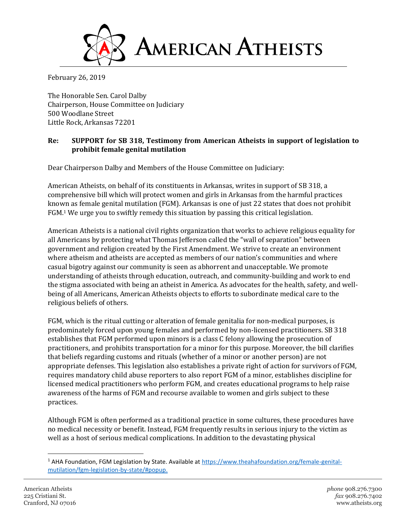

February 26, 2019

The Honorable Sen. Carol Dalby Chairperson, House Committee on Judiciary 500 Woodlane Street Little Rock, Arkansas 72201

## **Re: SUPPORT for SB 318, Testimony from American Atheists in support of legislation to prohibit female genital mutilation**

Dear Chairperson Dalby and Members of the House Committee on Judiciary:

American Atheists, on behalf of its constituents in Arkansas, writes in support of SB 318, a comprehensive bill which will protect women and girls in Arkansas from the harmful practices known as female genital mutilation (FGM). Arkansas is one of just 22 states that does not prohibit FGM.<sup>1</sup> We urge you to swiftly remedy this situation by passing this critical legislation.

American Atheists is a national civil rights organization that works to achieve religious equality for all Americans by protecting what Thomas Jefferson called the "wall of separation" between government and religion created by the First Amendment. We strive to create an environment where atheism and atheists are accepted as members of our nation's communities and where casual bigotry against our community is seen as abhorrent and unacceptable. We promote understanding of atheists through education, outreach, and community-building and work to end the stigma associated with being an atheist in America. As advocates for the health, safety, and wellbeing of all Americans, American Atheists objects to efforts to subordinate medical care to the religious beliefs of others.

FGM, which is the ritual cutting or alteration of female genitalia for non-medical purposes, is predominately forced upon young females and performed by non-licensed practitioners. SB 318 establishes that FGM performed upon minors is a class C felony allowing the prosecution of practitioners, and prohibits transportation for a minor for this purpose. Moreover, the bill clarifies that beliefs regarding customs and rituals (whether of a minor or another person) are not appropriate defenses. This legislation also establishes a private right of action for survivors of FGM, requires mandatory child abuse reporters to also report FGM of a minor, establishes discipline for licensed medical practitioners who perform FGM, and creates educational programs to help raise awareness of the harms of FGM and recourse available to women and girls subject to these practices.

Although FGM is often performed as a traditional practice in some cultures, these procedures have no medical necessity or benefit. Instead, FGM frequently results in serious injury to the victim as well as a host of serious medical complications. In addition to the devastating physical

 $\overline{\phantom{a}}$ 

<sup>&</sup>lt;sup>1</sup> AHA Foundation, FGM Legislation by State. Available at [https://www.theahafoundation.org/female-genital](https://www.theahafoundation.org/female-genital-mutilation/fgm-legislation-by-state/#popup)[mutilation/fgm-legislation-by-state/#popup.](https://www.theahafoundation.org/female-genital-mutilation/fgm-legislation-by-state/#popup)